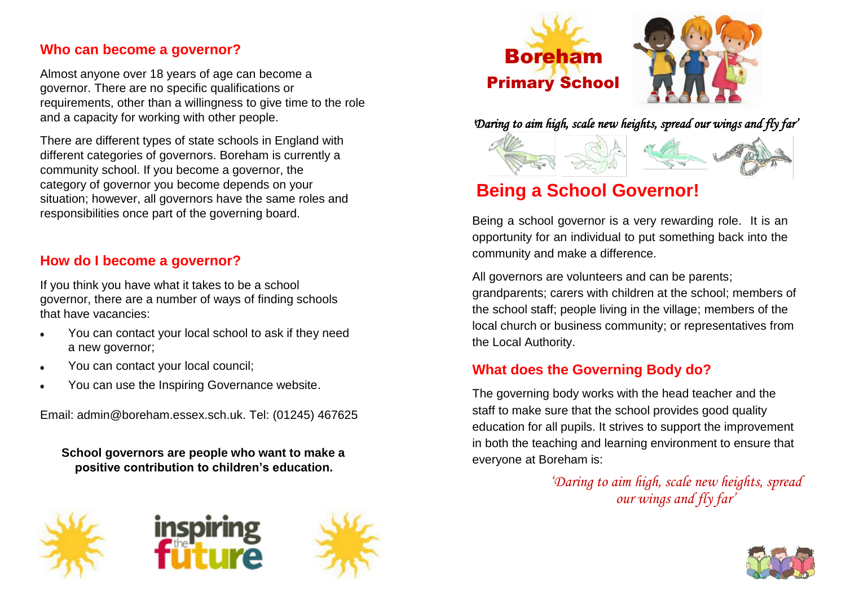#### **Who can become a governor?**

Almost anyone over 18 years of age can become a governor. There are no specific qualifications or requirements, other than a willingness to give time to the role and a capacity for working with other people.

There are different types of state schools in England with different categories of governors. Boreham is currently a community school. If you become a governor, the category of governor you become depends on your situation; however, all governors have the same roles and responsibilities once part of the governing board.

#### **How do I become a governor?**

If you think you have what it takes to be a school governor, there are a number of ways of finding schools that have vacancies:

- You can contact your local school to ask if they need  $\bullet$ a new governor;
- You can contact your local council;  $\bullet$
- You can use the Inspiring Governance website.  $\bullet$

Email: admin@boreham.essex.sch.uk. Tel: (01245) 467625

**School governors are people who want to make a positive contribution to children's education.**











*'Daring to aim high, scale new heights, spread our wings and fly far'* 



# **Being a School Governor!**

Being a school governor is a very rewarding role. It is an opportunity for an individual to put something back into the community and make a difference.

All governors are volunteers and can be parents; grandparents; carers with children at the school; members of the school staff; people living in the village; members of the local church or business community; or representatives from the Local Authority.

# **What does the Governing Body do?**

The governing body works with the head teacher and the staff to make sure that the school provides good quality education for all pupils. It strives to support the improvement in both the teaching and learning environment to ensure that everyone at Boreham is:

> *'Daring to aim high, scale new heights, spread our wings and fly far'*